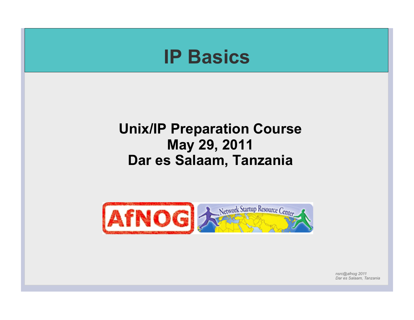

*Dar es Salaam, Tanzania*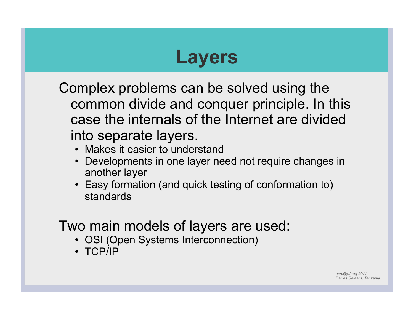## **Layers**

Complex problems can be solved using the common divide and conquer principle. In this case the internals of the Internet are divided into separate layers.

- Makes it easier to understand
- Developments in one layer need not require changes in another layer
- Easy formation (and quick testing of conformation to) standards

### Two main models of layers are used:

- OSI (Open Systems Interconnection)
- TCP/IP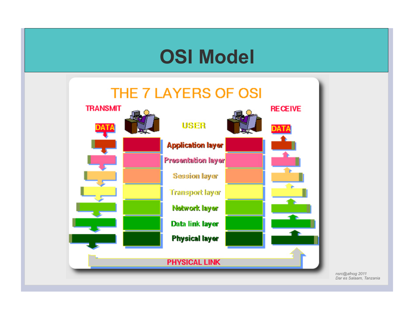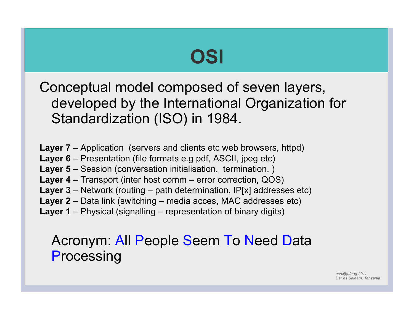## **OSI**

Conceptual model composed of seven layers, developed by the International Organization for Standardization (ISO) in 1984.

- **Layer 7** Application (servers and clients etc web browsers, httpd)
- **Layer 6** Presentation (file formats e.g pdf, ASCII, jpeg etc)
- **Layer 5** Session (conversation initialisation, termination, )
- **Layer 4** Transport (inter host comm error correction, QOS)
- **Layer 3** Network (routing path determination, IP[x] addresses etc)
- **Layer 2** Data link (switching media acces, MAC addresses etc)
- **Layer 1** Physical (signalling representation of binary digits)

### Acronym: All People Seem To Need Data **Processing**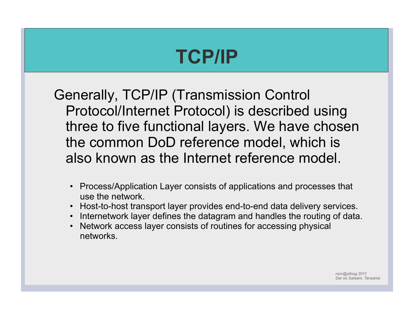## **TCP/IP**

Generally, TCP/IP (Transmission Control Protocol/Internet Protocol) is described using three to five functional layers. We have chosen the common DoD reference model, which is also known as the Internet reference model.

- Process/Application Layer consists of applications and processes that use the network.
- Host-to-host transport layer provides end-to-end data delivery services.
- Internetwork layer defines the datagram and handles the routing of data.
- Network access layer consists of routines for accessing physical networks.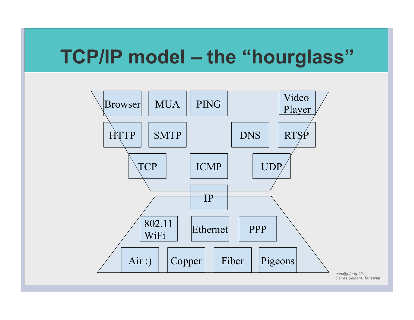## **TCP/IP model – the "hourglass"**

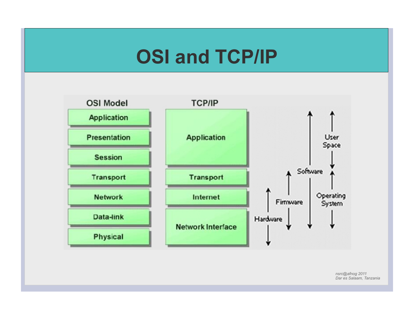## **OSI and TCP/IP**

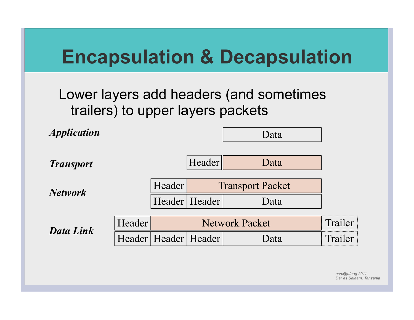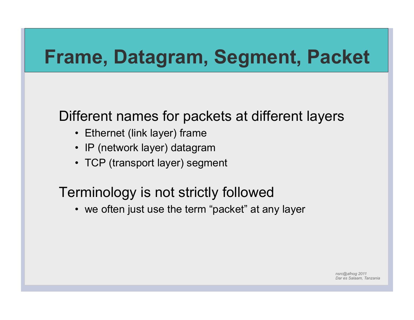## **Frame, Datagram, Segment, Packet**

### Different names for packets at different layers

- Ethernet (link layer) frame
- IP (network layer) datagram
- TCP (transport layer) segment

### Terminology is not strictly followed

• we often just use the term "packet" at any layer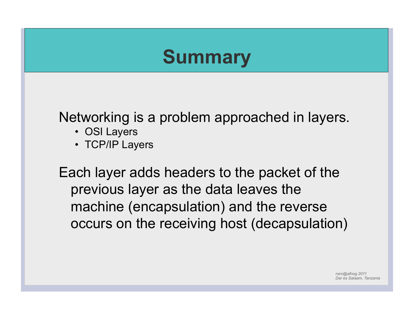# **Summary**  Networking is a problem approached in layers. • OSI Layers • TCP/IP Layers Each layer adds headers to the packet of the previous layer as the data leaves the machine (encapsulation) and the reverse occurs on the receiving host (decapsulation)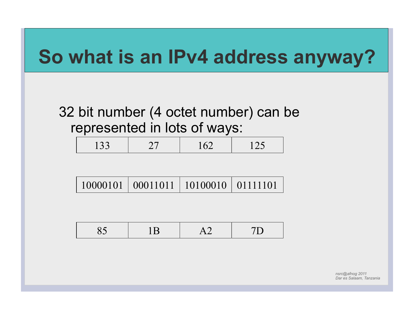

### 32 bit number (4 octet number) can be represented in lots of ways:

| $1 \cap$<br>133 <sup>′</sup> |  | 162 | $\mathbf{1} \mathbf{1}$ |
|------------------------------|--|-----|-------------------------|
|------------------------------|--|-----|-------------------------|

|  | 10000101   00011011   10100010   01111101 |  |  |
|--|-------------------------------------------|--|--|
|--|-------------------------------------------|--|--|

|  | --- |  |
|--|-----|--|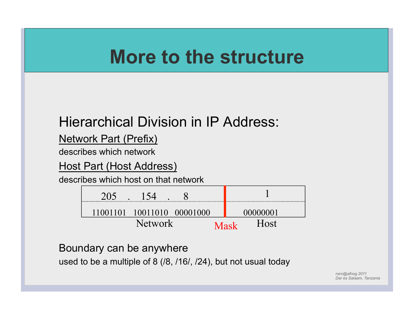## **More to the structure**

### Hierarchical Division in IP Address:

#### Network Part (Prefix)

describes which network

#### Host Part (Host Address)

describes which host on that network

| 10011010<br>11001101<br>-000010 | 1011         |
|---------------------------------|--------------|
| Network                         | Host<br>Mask |

#### Boundary can be anywhere

used to be a multiple of 8 (/8, /16/, /24), but not usual today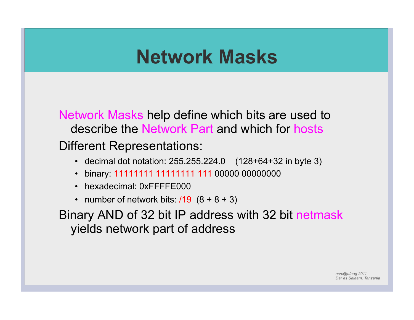## **Network Masks**

Network Masks help define which bits are used to describe the Network Part and which for hosts Different Representations:

- decimal dot notation: 255.255.224.0 (128+64+32 in byte 3)
- binary: 11111111 11111111 111 00000 00000000
- hexadecimal: 0xFFFFE000
- number of network bits:  $/19$   $(8 + 8 + 3)$

Binary AND of 32 bit IP address with 32 bit netmask yields network part of address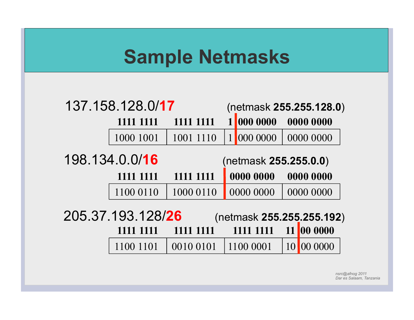## **Sample Netmasks**

| 137.158.128.0/17                               |           |           |  | (netmask 255.255.128.0) |                 |           |  |
|------------------------------------------------|-----------|-----------|--|-------------------------|-----------------|-----------|--|
|                                                | 1111 1111 | 1111 1111 |  | 000 0000                |                 | 0000 0000 |  |
|                                                | 1000 1001 | 1001 1110 |  | 000 0000                |                 | 0000 0000 |  |
| 198.134.0.0/16<br>(netmask 255.255.0.0)        |           |           |  |                         |                 |           |  |
|                                                | 1111 1111 | 1111 1111 |  | 0000 0000               |                 | 0000 0000 |  |
|                                                | 1100 0110 | 1000 0110 |  | 0000 0000               |                 | 0000 0000 |  |
| 205.37.193.128/26<br>(netmask 255.255.255.192) |           |           |  |                         |                 |           |  |
|                                                | 1111 1111 | 1111 1111 |  | 1111 1111               | 11              | 00 0000   |  |
|                                                | 1100 1101 | 0010 0101 |  | 1100 0001               | 10 <sup> </sup> | 00 0000   |  |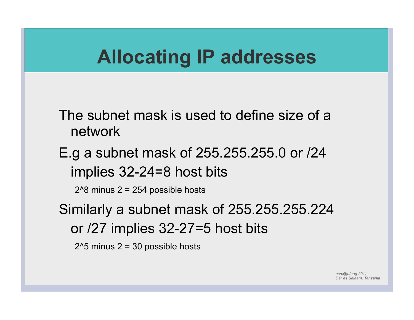## **Allocating IP addresses**

The subnet mask is used to define size of a network

E.g a subnet mask of 255.255.255.0 or /24 implies 32-24=8 host bits

2^8 minus 2 = 254 possible hosts

Similarly a subnet mask of 255.255.255.224 or /27 implies 32-27=5 host bits

 $2^5$  minus  $2 = 30$  possible hosts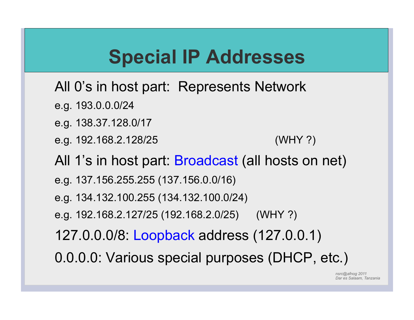## **Special IP Addresses**

- All 0's in host part: Represents Network
- e.g. 193.0.0.0/24
- e.g. 138.37.128.0/17
- e.g. 192.168.2.128/25 (WHY ?)
- All 1's in host part: Broadcast (all hosts on net)
- e.g. 137.156.255.255 (137.156.0.0/16)
- e.g. 134.132.100.255 (134.132.100.0/24)
- e.g. 192.168.2.127/25 (192.168.2.0/25) (WHY ?)
- 127.0.0.0/8: Loopback address (127.0.0.1)
- 0.0.0.0: Various special purposes (DHCP, etc.)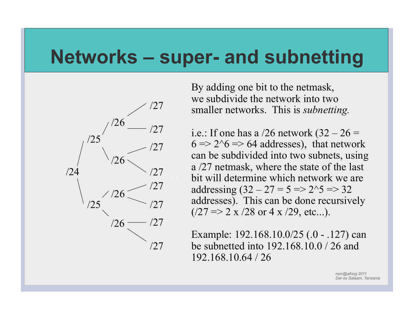### **Networks – super- and subnetting**



By adding one bit to the netmask, we subdivide the network into two smaller networks. This is *subnetting.* 

i.e.: If one has a  $/26$  network  $(32 – 26 =$  $6 \Rightarrow 2^6 \Rightarrow 64$  addresses), that network can be subdivided into two subnets, using a /27 netmask, where the state of the last bit will determine which network we are addressing  $(32 - 27 = 5 \implies 2^{3} \implies 32$ addresses). This can be done recursively  $(27 \Rightarrow 2 \times 28 \text{ or } 4 \times 29, \text{ etc...}).$ 

Example: 192.168.10.0/25 (.0 - .127) can be subnetted into 192.168.10.0 / 26 and 192.168.10.64 / 26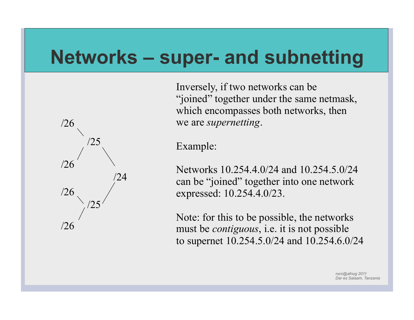### **Networks – super- and subnetting**



Inversely, if two networks can be "joined" together under the same netmask, which encompasses both networks, then we are *supernetting*.

Example:

Networks 10.254.4.0/24 and 10.254.5.0/24 can be "joined" together into one network expressed: 10.254.4.0/23.

Note: for this to be possible, the networks must be *contiguous*, i.e. it is not possible to supernet 10.254.5.0/24 and 10.254.6.0/24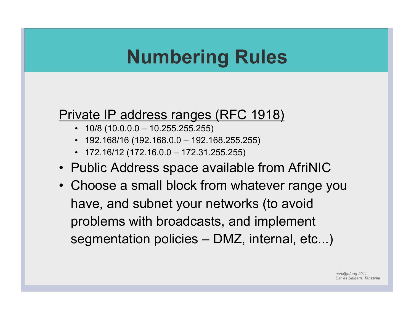## **Numbering Rules**

## Private IP address ranges (RFC 1918)<br>• 10/8 (10.0.0.0 – 10.255.255.255)

- 
- 192.168/16 (192.168.0.0 192.168.255.255)
- $\cdot$  172.16/12 (172.16.0.0 172.31.255.255)
- Public Address space available from AfriNIC
- Choose a small block from whatever range you have, and subnet your networks (to avoid problems with broadcasts, and implement segmentation policies – DMZ, internal, etc...)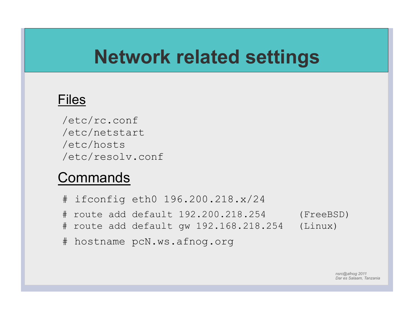## **Network related settings**

#### Files

/etc/rc.conf /etc/netstart /etc/hosts /etc/resolv.conf

#### **Commands**

# ifconfig eth0 196.200.218.x/24 # route add default 192.200.218.254 (FreeBSD) # route add default gw 192.168.218.254 (Linux) # hostname pcN.ws.afnog.org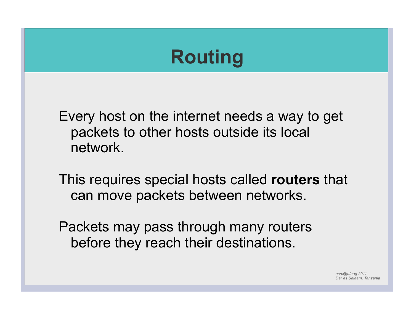## **Routing**

Every host on the internet needs a way to get packets to other hosts outside its local network.

This requires special hosts called **routers** that can move packets between networks.

Packets may pass through many routers before they reach their destinations.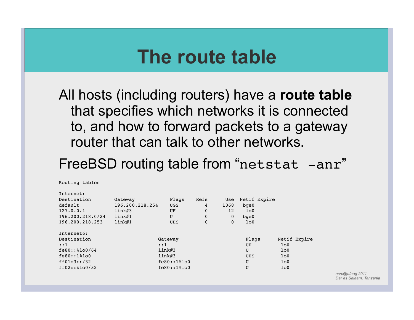### **The route table**

All hosts (including routers) have a **route table** that specifies which networks it is connected to, and how to forward packets to a gateway router that can talk to other networks.

### FreeBSD routing table from "netstat -anr"

Routing tables

Internet:

| THRETHEL!        |                 |                  |      |              |                |                |
|------------------|-----------------|------------------|------|--------------|----------------|----------------|
| Destination      | Gateway         | Flags            | Refs | Use          | Netif Expire   |                |
| default          | 196.200.218.254 | <b>UGS</b>       | 4    | 1068         | $b$ qe $0$     |                |
| 127.0.0.1        | link#3          | UH               | 0    | 12           | 1 <sub>0</sub> |                |
| 196.200.218.0/24 | link#1          | U                | 0    | $\mathbf 0$  | $b$ qe $0$     |                |
| 196.200.218.253  | link#1          | <b>UHS</b>       | 0    | $\mathbf{0}$ | 1 <sub>0</sub> |                |
| Internet6:       |                 |                  |      |              |                |                |
| Destination      |                 | Gateway          |      |              | Flags          | Netif Expire   |
| $\cdot:1$        |                 | : : 1            |      |              | UH             | 1 <sub>0</sub> |
| $fe80::\$lo0/64$ |                 | link#3           |      |              | U              | 1 <sub>0</sub> |
| $fe80::1$ $8100$ |                 | link#3           |      |              | <b>UHS</b>     | 1 <sub>0</sub> |
| ff01:3::/32      |                 | $fe80::1$ $8100$ |      |              | U              | 1 <sub>0</sub> |
| $ff02::\$lo0/32$ |                 | $fe80::1$ $00$   |      |              | U              | 1 <sub>0</sub> |
|                  |                 |                  |      |              |                |                |
|                  |                 |                  |      |              |                |                |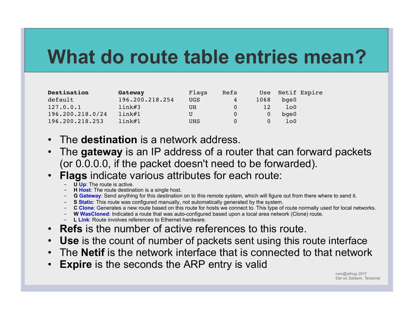## **What do route table entries mean?**

| Destination      | Gateway         | Flaqs      | Refs | Use  | Netif Expire |  |
|------------------|-----------------|------------|------|------|--------------|--|
| default          | 196.200.218.254 | <b>UGS</b> | 4    | 1068 | $b$ qe $0$   |  |
| 127.0.0.1        | link#3          | UH         |      | 12.  | 100          |  |
| 196.200.218.0/24 | link#1          | U          |      |      | $b$ qe $0$   |  |
| 196.200.218.253  | link#1          | <b>UHS</b> |      |      | lo0          |  |

- The **destination** is a network address.
- The **gateway** is an IP address of a router that can forward packets (or 0.0.0.0, if the packet doesn't need to be forwarded).
- **Flags** indicate various attributes for each route:
	- **U Up**: The route is active.
	- **H Host**: The route destination is a single host.
	- **G Gateway**: Send anything for this destination on to this remote system, which will figure out from there where to send it.
	- **S Static**: This route was configured manually, not automatically generated by the system.
	- **C Clone**: Generates a new route based on this route for hosts we connect to. This type of route normally used for local networks.
	- **W WasCloned**: Indicated a route that was auto-configured based upon a local area network (Clone) route.
	- **L Link**: Route involves references to Ethernet hardware.
- **Refs** is the number of active references to this route.
- **Use** is the count of number of packets sent using this route interface
- The **Netif** is the network interface that is connected to that network
- **Expire** is the seconds the ARP entry is valid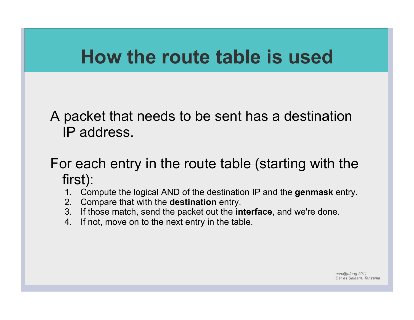## **How the route table is used**

A packet that needs to be sent has a destination IP address.

### For each entry in the route table (starting with the first):

- 1. Compute the logical AND of the destination IP and the **genmask** entry.
- 2. Compare that with the **destination** entry.
- 3. If those match, send the packet out the **interface**, and we're done.
- 4. If not, move on to the next entry in the table.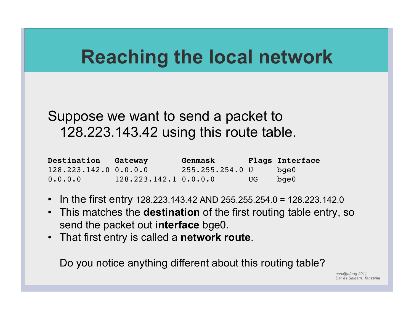## **Reaching the local network**

### Suppose we want to send a packet to 128.223.143.42 using this route table.

| Destination Gateway   |                         | Genmask         |      | Flags Interface |
|-----------------------|-------------------------|-----------------|------|-----------------|
| 128.223.142.0 0.0.0.0 |                         | 255.255.254.0 U |      | bqe0            |
| 0.0.0.0               | $128.223.142.1$ 0.0.0.0 |                 | UG N | bge0            |

- In the first entry 128.223.143.42 AND 255.255.254.0 = 128.223.142.0
- This matches the **destination** of the first routing table entry, so send the packet out **interface** bge0.
- That first entry is called a **network route**.

Do you notice anything different about this routing table?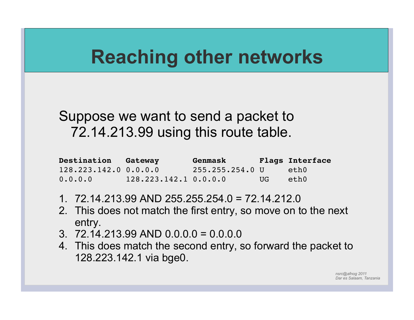## **Reaching other networks**

### Suppose we want to send a packet to 72.14.213.99 using this route table.

| <b>Destination Gateway</b> |                       | Genmask         |     | <b>Flags Interface</b> |
|----------------------------|-----------------------|-----------------|-----|------------------------|
| $128.223.142.0$ 0.0.0.0    |                       | 255.255.254.0 U |     | eth0                   |
| 0.0.0.0                    | 128.223.142.1 0.0.0.0 |                 | UG. | eth0                   |

- 1. 72.14.213.99 AND 255.255.254.0 = 72.14.212.0
- 2. This does not match the first entry, so move on to the next entry.
- 3.  $72.14.213.99$  AND  $0.0.0.0 = 0.0.0.0$
- 4. This does match the second entry, so forward the packet to 128.223.142.1 via bge0.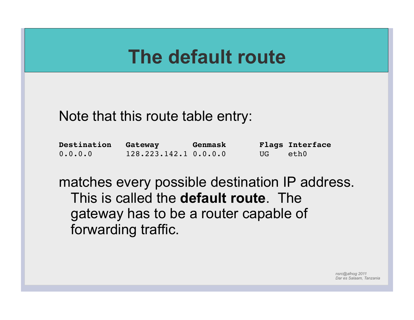## **The default route**

### Note that this route table entry:

| Destination | Gateway                 | Genmask |      | <b>Flags Interface</b> |
|-------------|-------------------------|---------|------|------------------------|
| 0.0.0.0     | $128.223.142.1$ 0.0.0.0 |         | UG 1 | eth0                   |

matches every possible destination IP address. This is called the **default route**. The gateway has to be a router capable of forwarding traffic.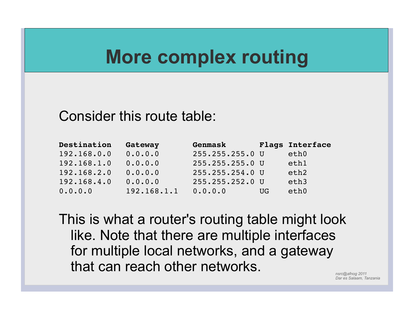### **More complex routing**

#### Consider this route table:

| Destination | Gateway     | Genmask         |     | <b>Flags Interface</b> |
|-------------|-------------|-----------------|-----|------------------------|
| 192.168.0.0 | 0.0.0.0     | 255.255.255.0 U |     | eth0                   |
| 192.168.1.0 | 0.0.0.0     | 255.255.255.0 U |     | eth1                   |
| 192.168.2.0 | 0.0.0.0     | 255.255.254.0 U |     | eth <sub>2</sub>       |
| 192.168.4.0 | 0.0.0.0     | 255.255.252.0 U |     | eth3                   |
| 0.0.0.0     | 192.168.1.1 | 0.0.0.0         | UG. | eth0                   |

This is what a router's routing table might look like. Note that there are multiple interfaces for multiple local networks, and a gateway that can reach other networks.